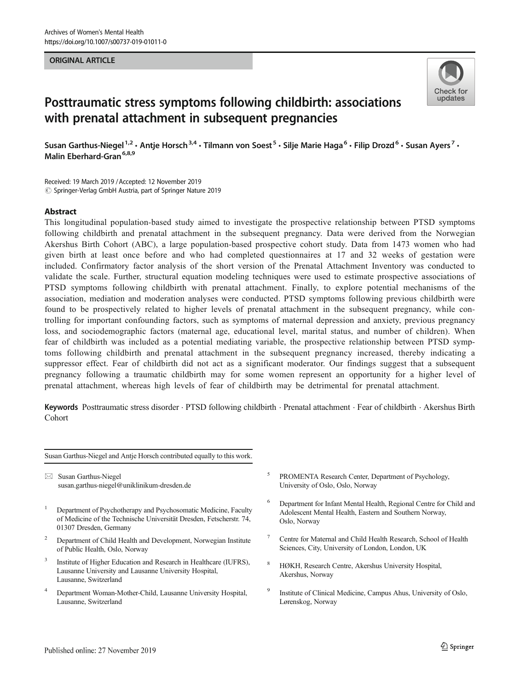## ORIGINAL ARTICLE



# Posttraumatic stress symptoms following childbirth: associations with prenatal attachment in subsequent pregnancies

Susan Garthus-Niegel<sup>1,2</sup> • Antje Horsch<sup>3,4</sup> • Tilmann von Soest<sup>5</sup> • Silje Marie Haga<sup>6</sup> • Filip Drozd<sup>6</sup> • Susan Ayers<sup>7</sup> • Malin Eberhard-Gran<sup>6,8,9</sup>

Received: 19 March 2019 /Accepted: 12 November 2019  $\circled{c}$  Springer-Verlag GmbH Austria, part of Springer Nature 2019

## Abstract

This longitudinal population-based study aimed to investigate the prospective relationship between PTSD symptoms following childbirth and prenatal attachment in the subsequent pregnancy. Data were derived from the Norwegian Akershus Birth Cohort (ABC), a large population-based prospective cohort study. Data from 1473 women who had given birth at least once before and who had completed questionnaires at 17 and 32 weeks of gestation were included. Confirmatory factor analysis of the short version of the Prenatal Attachment Inventory was conducted to validate the scale. Further, structural equation modeling techniques were used to estimate prospective associations of PTSD symptoms following childbirth with prenatal attachment. Finally, to explore potential mechanisms of the association, mediation and moderation analyses were conducted. PTSD symptoms following previous childbirth were found to be prospectively related to higher levels of prenatal attachment in the subsequent pregnancy, while controlling for important confounding factors, such as symptoms of maternal depression and anxiety, previous pregnancy loss, and sociodemographic factors (maternal age, educational level, marital status, and number of children). When fear of childbirth was included as a potential mediating variable, the prospective relationship between PTSD symptoms following childbirth and prenatal attachment in the subsequent pregnancy increased, thereby indicating a suppressor effect. Fear of childbirth did not act as a significant moderator. Our findings suggest that a subsequent pregnancy following a traumatic childbirth may for some women represent an opportunity for a higher level of prenatal attachment, whereas high levels of fear of childbirth may be detrimental for prenatal attachment.

Keywords Posttraumatic stress disorder . PTSD following childbirth . Prenatal attachment . Fear of childbirth . Akershus Birth Cohort

Susan Garthus-Niegel and Antje Horsch contributed equally to this work.

 $\boxtimes$  Susan Garthus-Niegel [susan.garthus-niegel@uniklinikum-dresden.de](mailto:susan.garthus-niegel@uniklinikum-dresden.de)

- <sup>1</sup> Department of Psychotherapy and Psychosomatic Medicine, Faculty of Medicine of the Technische Universität Dresden, Fetscherstr. 74, 01307 Dresden, Germany
- <sup>2</sup> Department of Child Health and Development, Norwegian Institute of Public Health, Oslo, Norway
- Institute of Higher Education and Research in Healthcare (IUFRS), Lausanne University and Lausanne University Hospital, Lausanne, Switzerland
- <sup>4</sup> Department Woman-Mother-Child, Lausanne University Hospital, Lausanne, Switzerland
- <sup>5</sup> PROMENTA Research Center, Department of Psychology, University of Oslo, Oslo, Norway
- <sup>6</sup> Department for Infant Mental Health, Regional Centre for Child and Adolescent Mental Health, Eastern and Southern Norway, Oslo, Norway
- <sup>7</sup> Centre for Maternal and Child Health Research, School of Health Sciences, City, University of London, London, UK
- <sup>8</sup> HØKH, Research Centre, Akershus University Hospital, Akershus, Norway
- Institute of Clinical Medicine, Campus Ahus, University of Oslo, Lørenskog, Norway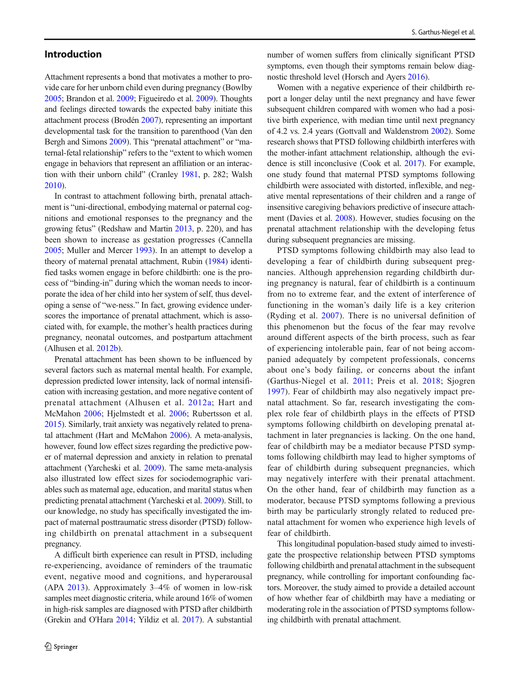# Introduction

Attachment represents a bond that motivates a mother to provide care for her unborn child even during pregnancy (Bowlby [2005;](#page-7-0) Brandon et al. [2009](#page-7-0); Figueiredo et al. [2009](#page-7-0)). Thoughts and feelings directed towards the expected baby initiate this attachment process (Brodén [2007](#page-7-0)), representing an important developmental task for the transition to parenthood (Van den Bergh and Simons [2009\)](#page-8-0). This "prenatal attachment" or "maternal-fetal relationship" refers to the "extent to which women engage in behaviors that represent an affiliation or an interaction with their unborn child" (Cranley [1981](#page-7-0), p. 282; Walsh [2010\)](#page-8-0).

In contrast to attachment following birth, prenatal attachment is "uni-directional, embodying maternal or paternal cognitions and emotional responses to the pregnancy and the growing fetus" (Redshaw and Martin [2013](#page-8-0), p. 220), and has been shown to increase as gestation progresses (Cannella [2005;](#page-7-0) Muller and Mercer [1993\)](#page-8-0). In an attempt to develop a theory of maternal prenatal attachment, Rubin [\(1984\)](#page-8-0) identified tasks women engage in before childbirth: one is the process of "binding-in" during which the woman needs to incorporate the idea of her child into her system of self, thus developing a sense of "we-ness." In fact, growing evidence underscores the importance of prenatal attachment, which is associated with, for example, the mother's health practices during pregnancy, neonatal outcomes, and postpartum attachment (Alhusen et al. [2012b](#page-7-0)).

Prenatal attachment has been shown to be influenced by several factors such as maternal mental health. For example, depression predicted lower intensity, lack of normal intensification with increasing gestation, and more negative content of prenatal attachment (Alhusen et al. [2012a;](#page-7-0) Hart and McMahon [2006](#page-8-0); Hjelmstedt et al. [2006;](#page-8-0) Rubertsson et al. [2015\)](#page-8-0). Similarly, trait anxiety was negatively related to prenatal attachment (Hart and McMahon [2006](#page-8-0)). A meta-analysis, however, found low effect sizes regarding the predictive power of maternal depression and anxiety in relation to prenatal attachment (Yarcheski et al. [2009\)](#page-8-0). The same meta-analysis also illustrated low effect sizes for sociodemographic variables such as maternal age, education, and marital status when predicting prenatal attachment (Yarcheski et al. [2009](#page-8-0)). Still, to our knowledge, no study has specifically investigated the impact of maternal posttraumatic stress disorder (PTSD) following childbirth on prenatal attachment in a subsequent pregnancy.

A difficult birth experience can result in PTSD, including re-experiencing, avoidance of reminders of the traumatic event, negative mood and cognitions, and hyperarousal (APA [2013\)](#page-7-0). Approximately 3–4% of women in low-risk samples meet diagnostic criteria, while around 16% of women in high-risk samples are diagnosed with PTSD after childbirth (Grekin and O'Hara [2014;](#page-8-0) Yildiz et al. [2017](#page-8-0)). A substantial

number of women suffers from clinically significant PTSD symptoms, even though their symptoms remain below diagnostic threshold level (Horsch and Ayers [2016\)](#page-8-0).

Women with a negative experience of their childbirth report a longer delay until the next pregnancy and have fewer subsequent children compared with women who had a positive birth experience, with median time until next pregnancy of 4.2 vs. 2.4 years (Gottvall and Waldenstrom [2002](#page-8-0)). Some research shows that PTSD following childbirth interferes with the mother-infant attachment relationship, although the evidence is still inconclusive (Cook et al. [2017\)](#page-7-0). For example, one study found that maternal PTSD symptoms following childbirth were associated with distorted, inflexible, and negative mental representations of their children and a range of insensitive caregiving behaviors predictive of insecure attachment (Davies et al. [2008\)](#page-7-0). However, studies focusing on the prenatal attachment relationship with the developing fetus during subsequent pregnancies are missing.

PTSD symptoms following childbirth may also lead to developing a fear of childbirth during subsequent pregnancies. Although apprehension regarding childbirth during pregnancy is natural, fear of childbirth is a continuum from no to extreme fear, and the extent of interference of functioning in the woman's daily life is a key criterion (Ryding et al. [2007\)](#page-8-0). There is no universal definition of this phenomenon but the focus of the fear may revolve around different aspects of the birth process, such as fear of experiencing intolerable pain, fear of not being accompanied adequately by competent professionals, concerns about one's body failing, or concerns about the infant (Garthus-Niegel et al. [2011;](#page-7-0) Preis et al. [2018;](#page-8-0) Sjogren [1997](#page-8-0)). Fear of childbirth may also negatively impact prenatal attachment. So far, research investigating the complex role fear of childbirth plays in the effects of PTSD symptoms following childbirth on developing prenatal attachment in later pregnancies is lacking. On the one hand, fear of childbirth may be a mediator because PTSD symptoms following childbirth may lead to higher symptoms of fear of childbirth during subsequent pregnancies, which may negatively interfere with their prenatal attachment. On the other hand, fear of childbirth may function as a moderator, because PTSD symptoms following a previous birth may be particularly strongly related to reduced prenatal attachment for women who experience high levels of fear of childbirth.

This longitudinal population-based study aimed to investigate the prospective relationship between PTSD symptoms following childbirth and prenatal attachment in the subsequent pregnancy, while controlling for important confounding factors. Moreover, the study aimed to provide a detailed account of how whether fear of childbirth may have a mediating or moderating role in the association of PTSD symptoms following childbirth with prenatal attachment.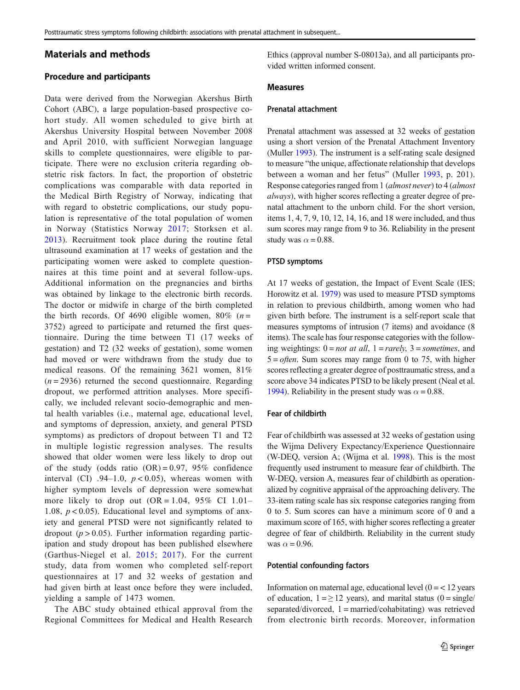## Materials and methods

# Procedure and participants

Data were derived from the Norwegian Akershus Birth Cohort (ABC), a large population-based prospective cohort study. All women scheduled to give birth at Akershus University Hospital between November 2008 and April 2010, with sufficient Norwegian language skills to complete questionnaires, were eligible to participate. There were no exclusion criteria regarding obstetric risk factors. In fact, the proportion of obstetric complications was comparable with data reported in the Medical Birth Registry of Norway, indicating that with regard to obstetric complications, our study population is representative of the total population of women in Norway (Statistics Norway [2017;](#page-8-0) Storksen et al. [2013](#page-8-0)). Recruitment took place during the routine fetal ultrasound examination at 17 weeks of gestation and the participating women were asked to complete questionnaires at this time point and at several follow-ups. Additional information on the pregnancies and births was obtained by linkage to the electronic birth records. The doctor or midwife in charge of the birth completed the birth records. Of 4690 eligible women, 80% ( $n =$ 3752) agreed to participate and returned the first questionnaire. During the time between T1 (17 weeks of gestation) and T2 (32 weeks of gestation), some women had moved or were withdrawn from the study due to medical reasons. Of the remaining 3621 women, 81%  $(n = 2936)$  returned the second questionnaire. Regarding dropout, we performed attrition analyses. More specifically, we included relevant socio-demographic and mental health variables (i.e., maternal age, educational level, and symptoms of depression, anxiety, and general PTSD symptoms) as predictors of dropout between T1 and T2 in multiple logistic regression analyses. The results showed that older women were less likely to drop out of the study (odds ratio  $(OR) = 0.97$ , 95% confidence interval (CI)  $.94-1.0$ ,  $p < 0.05$ ), whereas women with higher symptom levels of depression were somewhat more likely to drop out  $(OR = 1.04, 95\% \text{ CI } 1.01-$ 1.08,  $p < 0.05$ ). Educational level and symptoms of anxiety and general PTSD were not significantly related to dropout  $(p > 0.05)$ . Further information regarding participation and study dropout has been published elsewhere (Garthus-Niegel et al. [2015](#page-7-0); [2017\)](#page-8-0). For the current study, data from women who completed self-report questionnaires at 17 and 32 weeks of gestation and had given birth at least once before they were included, yielding a sample of 1473 women.

The ABC study obtained ethical approval from the Regional Committees for Medical and Health Research

Ethics (approval number S-08013a), and all participants provided written informed consent.

#### Measures

#### Prenatal attachment

Prenatal attachment was assessed at 32 weeks of gestation using a short version of the Prenatal Attachment Inventory (Muller [1993](#page-8-0)). The instrument is a self-rating scale designed to measure "the unique, affectionate relationship that develops between a woman and her fetus" (Muller [1993,](#page-8-0) p. 201). Response categories ranged from 1 (almost never) to 4 (almost always), with higher scores reflecting a greater degree of prenatal attachment to the unborn child. For the short version, items 1, 4, 7, 9, 10, 12, 14, 16, and 18 were included, and thus sum scores may range from 9 to 36. Reliability in the present study was  $\alpha = 0.88$ .

#### PTSD symptoms

At 17 weeks of gestation, the Impact of Event Scale (IES; Horowitz et al. [1979](#page-8-0)) was used to measure PTSD symptoms in relation to previous childbirth, among women who had given birth before. The instrument is a self-report scale that measures symptoms of intrusion (7 items) and avoidance (8 items). The scale has four response categories with the following weightings:  $0 = not$  at all,  $1 = rarely$ ,  $3 = sometimes$ , and  $5 = often$ . Sum scores may range from 0 to 75, with higher scores reflecting a greater degree of posttraumatic stress, and a score above 34 indicates PTSD to be likely present (Neal et al. [1994\)](#page-8-0). Reliability in the present study was  $\alpha = 0.88$ .

#### Fear of childbirth

Fear of childbirth was assessed at 32 weeks of gestation using the Wijma Delivery Expectancy/Experience Questionnaire (W-DEQ, version A; (Wijma et al. [1998](#page-8-0)). This is the most frequently used instrument to measure fear of childbirth. The W-DEQ, version A, measures fear of childbirth as operationalized by cognitive appraisal of the approaching delivery. The 33-item rating scale has six response categories ranging from 0 to 5. Sum scores can have a minimum score of 0 and a maximum score of 165, with higher scores reflecting a greater degree of fear of childbirth. Reliability in the current study was  $\alpha = 0.96$ .

#### Potential confounding factors

Information on maternal age, educational level  $(0 = 12$  years of education,  $1 = \ge 12$  years), and marital status  $(0 = \text{single}/)$ separated/divorced,  $1 =$  married/cohabitating) was retrieved from electronic birth records. Moreover, information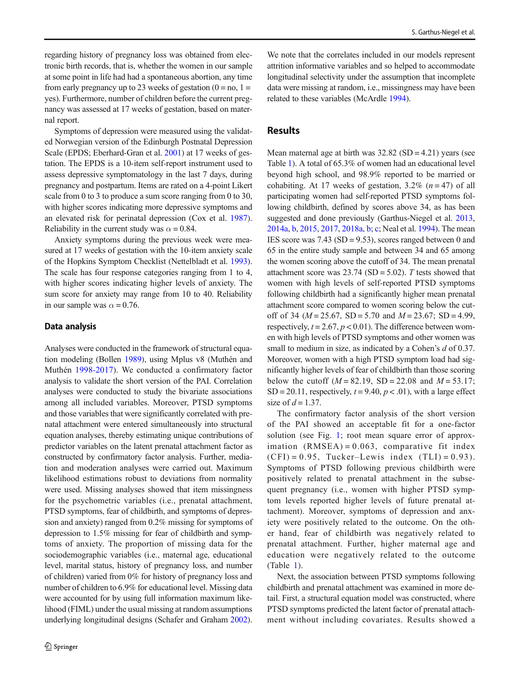regarding history of pregnancy loss was obtained from electronic birth records, that is, whether the women in our sample at some point in life had had a spontaneous abortion, any time from early pregnancy up to 23 weeks of gestation  $(0 = no, 1 =$ yes). Furthermore, number of children before the current pregnancy was assessed at 17 weeks of gestation, based on maternal report.

Symptoms of depression were measured using the validated Norwegian version of the Edinburgh Postnatal Depression Scale (EPDS; Eberhard-Gran et al. [2001\)](#page-7-0) at 17 weeks of gestation. The EPDS is a 10-item self-report instrument used to assess depressive symptomatology in the last 7 days, during pregnancy and postpartum. Items are rated on a 4-point Likert scale from 0 to 3 to produce a sum score ranging from 0 to 30, with higher scores indicating more depressive symptoms and an elevated risk for perinatal depression (Cox et al. [1987](#page-7-0)). Reliability in the current study was  $\alpha = 0.84$ .

Anxiety symptoms during the previous week were measured at 17 weeks of gestation with the 10-item anxiety scale of the Hopkins Symptom Checklist (Nettelbladt et al. [1993\)](#page-8-0). The scale has four response categories ranging from 1 to 4, with higher scores indicating higher levels of anxiety. The sum score for anxiety may range from 10 to 40. Reliability in our sample was  $\alpha = 0.76$ .

## Data analysis

Analyses were conducted in the framework of structural equation modeling (Bollen [1989](#page-7-0)), using Mplus v8 (Muthén and Muthén [1998-2017\)](#page-8-0). We conducted a confirmatory factor analysis to validate the short version of the PAI. Correlation analyses were conducted to study the bivariate associations among all included variables. Moreover, PTSD symptoms and those variables that were significantly correlated with prenatal attachment were entered simultaneously into structural equation analyses, thereby estimating unique contributions of predictor variables on the latent prenatal attachment factor as constructed by confirmatory factor analysis. Further, mediation and moderation analyses were carried out. Maximum likelihood estimations robust to deviations from normality were used. Missing analyses showed that item missingness for the psychometric variables (i.e., prenatal attachment, PTSD symptoms, fear of childbirth, and symptoms of depression and anxiety) ranged from 0.2% missing for symptoms of depression to 1.5% missing for fear of childbirth and symptoms of anxiety. The proportion of missing data for the sociodemographic variables (i.e., maternal age, educational level, marital status, history of pregnancy loss, and number of children) varied from 0% for history of pregnancy loss and number of children to 6.9% for educational level. Missing data were accounted for by using full information maximum likelihood (FIML) under the usual missing at random assumptions underlying longitudinal designs (Schafer and Graham [2002\)](#page-8-0).

We note that the correlates included in our models represent attrition informative variables and so helped to accommodate longitudinal selectivity under the assumption that incomplete data were missing at random, i.e., missingness may have been related to these variables (McArdle [1994](#page-8-0)).

# Results

Mean maternal age at birth was  $32.82$  (SD = 4.21) years (see Table [1\)](#page-4-0). A total of 65.3% of women had an educational level beyond high school, and 98.9% reported to be married or cohabiting. At 17 weeks of gestation,  $3.2\%$  ( $n = 47$ ) of all participating women had self-reported PTSD symptoms following childbirth, defined by scores above 34, as has been suggested and done previously (Garthus-Niegel et al. [2013,](#page-7-0) [2014a,](#page-7-0) [b](#page-7-0), [2015](#page-7-0), [2017](#page-8-0), [2018a,](#page-8-0) [b;](#page-8-0) [c;](#page-8-0) Neal et al. [1994](#page-8-0)). The mean IES score was 7.43 (SD = 9.53), scores ranged between 0 and 65 in the entire study sample and between 34 and 65 among the women scoring above the cutoff of 34. The mean prenatal attachment score was  $23.74$  (SD = 5.02). T tests showed that women with high levels of self-reported PTSD symptoms following childbirth had a significantly higher mean prenatal attachment score compared to women scoring below the cutoff of 34 ( $M = 25.67$ , SD = 5.70 and  $M = 23.67$ ; SD = 4.99, respectively,  $t = 2.67$ ,  $p < 0.01$ ). The difference between women with high levels of PTSD symptoms and other women was small to medium in size, as indicated by a Cohen's d of 0.37. Moreover, women with a high PTSD symptom load had significantly higher levels of fear of childbirth than those scoring below the cutoff  $(M = 82.19, SD = 22.08$  and  $M = 53.17$ ;  $SD = 20.11$ , respectively,  $t = 9.40$ ,  $p < .01$ ), with a large effect size of  $d = 1.37$ .

The confirmatory factor analysis of the short version of the PAI showed an acceptable fit for a one-factor solution (see Fig. [1](#page-4-0); root mean square error of approximation  $(RMSEA) = 0.063$ , comparative fit index  $(CFI) = 0.95$ , Tucker–Lewis index  $(TLI) = 0.93$ ). Symptoms of PTSD following previous childbirth were positively related to prenatal attachment in the subsequent pregnancy (i.e., women with higher PTSD symptom levels reported higher levels of future prenatal attachment). Moreover, symptoms of depression and anxiety were positively related to the outcome. On the other hand, fear of childbirth was negatively related to prenatal attachment. Further, higher maternal age and education were negatively related to the outcome (Table [1](#page-4-0)).

Next, the association between PTSD symptoms following childbirth and prenatal attachment was examined in more detail. First, a structural equation model was constructed, where PTSD symptoms predicted the latent factor of prenatal attachment without including covariates. Results showed a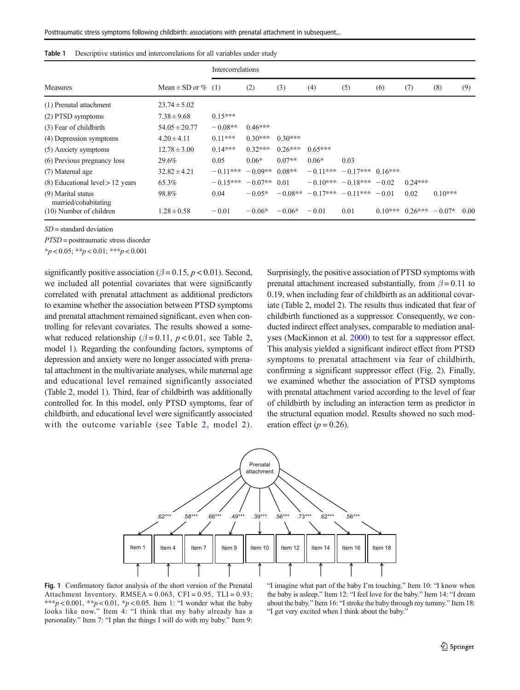|                                            |                        | Intercorrelations           |           |           |           |                               |           |                   |           |      |
|--------------------------------------------|------------------------|-----------------------------|-----------|-----------|-----------|-------------------------------|-----------|-------------------|-----------|------|
| <b>Measures</b>                            | Mean $\pm$ SD or % (1) |                             | (2)       | (3)       | (4)       | (5)                           | (6)       | (7)               | (8)       | (9)  |
| (1) Prenatal attachment                    | $23.74 \pm 5.02$       |                             |           |           |           |                               |           |                   |           |      |
| (2) PTSD symptoms                          | $7.38 \pm 9.68$        | $0.15***$                   |           |           |           |                               |           |                   |           |      |
| (3) Fear of childbirth                     | $54.05 \pm 20.77$      | $-0.08**$                   | $0.46***$ |           |           |                               |           |                   |           |      |
| (4) Depression symptoms                    | $4.20 \pm 4.11$        | $0.11***$                   | $0.30***$ | $0.30***$ |           |                               |           |                   |           |      |
| (5) Anxiety symptoms                       | $12.78 \pm 3.00$       | $0.14***$                   | $0.32***$ | $0.26***$ | $0.65***$ |                               |           |                   |           |      |
| (6) Previous pregnancy loss                | 29.6%                  | 0.05                        | $0.06*$   | $0.07**$  | $0.06*$   | 0.03                          |           |                   |           |      |
| (7) Maternal age                           | $32.82 \pm 4.21$       | $-0.11***$ $-0.09**$ 0.08** |           |           |           | $-0.11***$ $-0.17***$ 0.16*** |           |                   |           |      |
| $(8)$ Educational level $> 12$ years       | 65.3%                  | $-0.15***$ $-0.07**$        |           | 0.01      |           | $-0.10***$ $-0.18***$ $-0.02$ |           | $0.24***$         |           |      |
| (9) Marital status<br>married/cohabitating | 98.8%                  | 0.04                        | $-0.05*$  | $-0.08**$ |           | $-0.17***$ $-0.11***$ $-0.01$ |           | 0.02              | $0.10***$ |      |
| $(10)$ Number of children                  | $1.28 \pm 0.58$        | $-0.01$                     | $-0.06*$  | $-0.06*$  | $-0.01$   | 0.01                          | $0.10***$ | $0.26*** - 0.07*$ |           | 0.00 |

<span id="page-4-0"></span>

| Table 1 |  |  |  |  |  |  | Descriptive statistics and intercorrelations for all variables under study |
|---------|--|--|--|--|--|--|----------------------------------------------------------------------------|
|---------|--|--|--|--|--|--|----------------------------------------------------------------------------|

 $SD =$  standard deviation

PTSD = posttraumatic stress disorder

 $*_{p}$  < 0.05;  $*_{p}$  < 0.01;  $*_{p}$  < 0.001

significantly positive association ( $\beta$  = 0.15, p < 0.01). Second, we included all potential covariates that were significantly correlated with prenatal attachment as additional predictors to examine whether the association between PTSD symptoms and prenatal attachment remained significant, even when controlling for relevant covariates. The results showed a somewhat reduced relationship ( $\beta = 0.11$ ,  $p < 0.01$ , see Table [2,](#page-5-0) model 1). Regarding the confounding factors, symptoms of depression and anxiety were no longer associated with prenatal attachment in the multivariate analyses, while maternal age and educational level remained significantly associated (Table [2](#page-5-0), model 1). Third, fear of childbirth was additionally controlled for. In this model, only PTSD symptoms, fear of childbirth, and educational level were significantly associated with the outcome variable (see Table [2,](#page-5-0) model 2).

Surprisingly, the positive association of PTSD symptoms with prenatal attachment increased substantially, from  $\beta = 0.11$  to 0.19, when including fear of childbirth as an additional covariate (Table [2,](#page-5-0) model 2). The results thus indicated that fear of childbirth functioned as a suppressor. Consequently, we conducted indirect effect analyses, comparable to mediation analyses (MacKinnon et al. [2000\)](#page-8-0) to test for a suppressor effect. This analysis yielded a significant indirect effect from PTSD symptoms to prenatal attachment via fear of childbirth, confirming a significant suppressor effect (Fig. [2](#page-5-0)). Finally, we examined whether the association of PTSD symptoms with prenatal attachment varied according to the level of fear of childbirth by including an interaction term as predictor in the structural equation model. Results showed no such moderation effect ( $p = 0.26$ ).



Fig. 1 Confirmatory factor analysis of the short version of the Prenatal Attachment Inventory.  $RMSEA = 0.063$ ,  $CFI = 0.95$ ,  $TLI = 0.93$ ; \*\*\*p < 0.001, \*\*p < 0.01, \*p < 0.05. Item 1: "I wonder what the baby looks like now." Item 4: "I think that my baby already has a personality." Item 7: "I plan the things I will do with my baby." Item 9:

"I imagine what part of the baby I'm touching." Item 10: "I know when the baby is asleep." Item 12: "I feel love for the baby." Item 14: "I dream about the baby." Item 16: "I stroke the baby through my tummy." Item 18: "I get very excited when I think about the baby."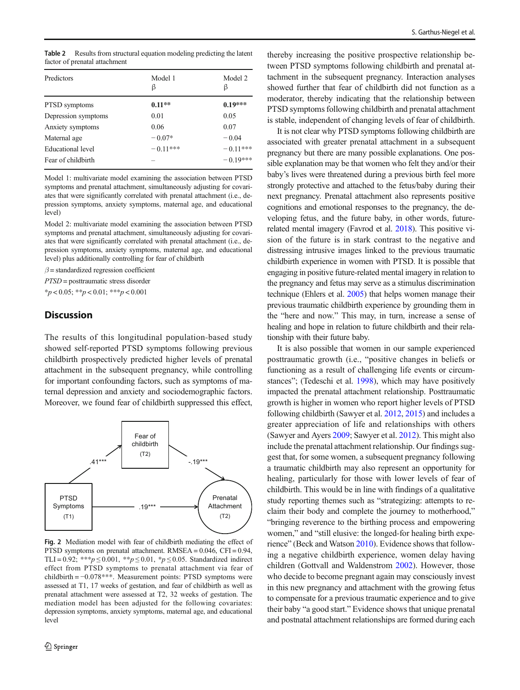<span id="page-5-0"></span>Table 2 Results from structural equation modeling predicting the latent factor of prenatal attachment

| Predictors               | Model 1<br>ß | Model 2<br>ß |  |  |
|--------------------------|--------------|--------------|--|--|
| PTSD symptoms            | $0.11**$     | $0.19***$    |  |  |
| Depression symptoms      | 0.01         | 0.05         |  |  |
| Anxiety symptoms         | 0.06         | 0.07         |  |  |
| Maternal age             | $-0.07*$     | $-0.04$      |  |  |
| <b>Educational</b> level | $-0.11***$   | $-0.11***$   |  |  |
| Fear of childbirth       |              | $-0.19***$   |  |  |

Model 1: multivariate model examining the association between PTSD symptoms and prenatal attachment, simultaneously adjusting for covariates that were significantly correlated with prenatal attachment (i.e., depression symptoms, anxiety symptoms, maternal age, and educational level)

Model 2: multivariate model examining the association between PTSD symptoms and prenatal attachment, simultaneously adjusting for covariates that were significantly correlated with prenatal attachment (i.e., depression symptoms, anxiety symptoms, maternal age, and educational level) plus additionally controlling for fear of childbirth

 $\beta$  = standardized regression coefficient

PTSD = posttraumatic stress disorder

 $*_{p}$  < 0.05;  $*_{p}$  < 0.01;  $*_{p}$  < 0.001

# **Discussion**

The results of this longitudinal population-based study showed self-reported PTSD symptoms following previous childbirth prospectively predicted higher levels of prenatal attachment in the subsequent pregnancy, while controlling for important confounding factors, such as symptoms of maternal depression and anxiety and sociodemographic factors. Moreover, we found fear of childbirth suppressed this effect,



Fig. 2 Mediation model with fear of childbirth mediating the effect of PTSD symptoms on prenatal attachment. RMSEA = 0.046, CFI = 0.94, TLI = 0.92; \*\*\*  $p \le 0.001$ , \*\*  $p \le 0.01$ , \* $p \le 0.05$ . Standardized indirect effect from PTSD symptoms to prenatal attachment via fear of childbirth =  $-0.078$ \*\*\*. Measurement points: PTSD symptoms were assessed at T1, 17 weeks of gestation, and fear of childbirth as well as prenatal attachment were assessed at T2, 32 weeks of gestation. The mediation model has been adjusted for the following covariates: depression symptoms, anxiety symptoms, maternal age, and educational level

thereby increasing the positive prospective relationship between PTSD symptoms following childbirth and prenatal attachment in the subsequent pregnancy. Interaction analyses showed further that fear of childbirth did not function as a moderator, thereby indicating that the relationship between PTSD symptoms following childbirth and prenatal attachment is stable, independent of changing levels of fear of childbirth.

It is not clear why PTSD symptoms following childbirth are associated with greater prenatal attachment in a subsequent pregnancy but there are many possible explanations. One possible explanation may be that women who felt they and/or their baby's lives were threatened during a previous birth feel more strongly protective and attached to the fetus/baby during their next pregnancy. Prenatal attachment also represents positive cognitions and emotional responses to the pregnancy, the developing fetus, and the future baby, in other words, futurerelated mental imagery (Favrod et al. [2018](#page-7-0)). This positive vision of the future is in stark contrast to the negative and distressing intrusive images linked to the previous traumatic childbirth experience in women with PTSD. It is possible that engaging in positive future-related mental imagery in relation to the pregnancy and fetus may serve as a stimulus discrimination technique (Ehlers et al. [2005\)](#page-7-0) that helps women manage their previous traumatic childbirth experience by grounding them in the "here and now." This may, in turn, increase a sense of healing and hope in relation to future childbirth and their relationship with their future baby.

It is also possible that women in our sample experienced posttraumatic growth (i.e., "positive changes in beliefs or functioning as a result of challenging life events or circum-stances"; (Tedeschi et al. [1998\)](#page-8-0), which may have positively impacted the prenatal attachment relationship. Posttraumatic growth is higher in women who report higher levels of PTSD following childbirth (Sawyer et al. [2012,](#page-8-0) [2015\)](#page-8-0) and includes a greater appreciation of life and relationships with others (Sawyer and Ayers [2009;](#page-8-0) Sawyer et al. [2012\)](#page-8-0). This might also include the prenatal attachment relationship. Our findings suggest that, for some women, a subsequent pregnancy following a traumatic childbirth may also represent an opportunity for healing, particularly for those with lower levels of fear of childbirth. This would be in line with findings of a qualitative study reporting themes such as "strategizing: attempts to reclaim their body and complete the journey to motherhood," "bringing reverence to the birthing process and empowering women," and "still elusive: the longed-for healing birth experience" (Beck and Watson [2010\)](#page-7-0). Evidence shows that following a negative childbirth experience, women delay having children (Gottvall and Waldenstrom [2002\)](#page-8-0). However, those who decide to become pregnant again may consciously invest in this new pregnancy and attachment with the growing fetus to compensate for a previous traumatic experience and to give their baby "a good start." Evidence shows that unique prenatal and postnatal attachment relationships are formed during each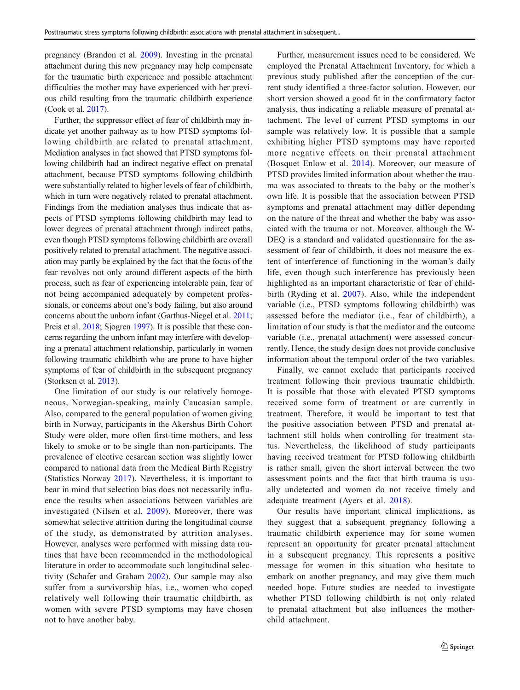pregnancy (Brandon et al. [2009\)](#page-7-0). Investing in the prenatal attachment during this new pregnancy may help compensate for the traumatic birth experience and possible attachment difficulties the mother may have experienced with her previous child resulting from the traumatic childbirth experience (Cook et al. [2017](#page-7-0)).

Further, the suppressor effect of fear of childbirth may indicate yet another pathway as to how PTSD symptoms following childbirth are related to prenatal attachment. Mediation analyses in fact showed that PTSD symptoms following childbirth had an indirect negative effect on prenatal attachment, because PTSD symptoms following childbirth were substantially related to higher levels of fear of childbirth, which in turn were negatively related to prenatal attachment. Findings from the mediation analyses thus indicate that aspects of PTSD symptoms following childbirth may lead to lower degrees of prenatal attachment through indirect paths, even though PTSD symptoms following childbirth are overall positively related to prenatal attachment. The negative association may partly be explained by the fact that the focus of the fear revolves not only around different aspects of the birth process, such as fear of experiencing intolerable pain, fear of not being accompanied adequately by competent professionals, or concerns about one's body failing, but also around concerns about the unborn infant (Garthus-Niegel et al. [2011](#page-7-0); Preis et al. [2018](#page-8-0); Sjogren [1997\)](#page-8-0). It is possible that these concerns regarding the unborn infant may interfere with developing a prenatal attachment relationship, particularly in women following traumatic childbirth who are prone to have higher symptoms of fear of childbirth in the subsequent pregnancy (Storksen et al. [2013\)](#page-8-0).

One limitation of our study is our relatively homogeneous, Norwegian-speaking, mainly Caucasian sample. Also, compared to the general population of women giving birth in Norway, participants in the Akershus Birth Cohort Study were older, more often first-time mothers, and less likely to smoke or to be single than non-participants. The prevalence of elective cesarean section was slightly lower compared to national data from the Medical Birth Registry (Statistics Norway [2017\)](#page-8-0). Nevertheless, it is important to bear in mind that selection bias does not necessarily influence the results when associations between variables are investigated (Nilsen et al. [2009](#page-8-0)). Moreover, there was somewhat selective attrition during the longitudinal course of the study, as demonstrated by attrition analyses. However, analyses were performed with missing data routines that have been recommended in the methodological literature in order to accommodate such longitudinal selectivity (Schafer and Graham [2002\)](#page-8-0). Our sample may also suffer from a survivorship bias, i.e., women who coped relatively well following their traumatic childbirth, as women with severe PTSD symptoms may have chosen not to have another baby.

Further, measurement issues need to be considered. We employed the Prenatal Attachment Inventory, for which a previous study published after the conception of the current study identified a three-factor solution. However, our short version showed a good fit in the confirmatory factor analysis, thus indicating a reliable measure of prenatal attachment. The level of current PTSD symptoms in our sample was relatively low. It is possible that a sample exhibiting higher PTSD symptoms may have reported more negative effects on their prenatal attachment (Bosquet Enlow et al. [2014\)](#page-7-0). Moreover, our measure of PTSD provides limited information about whether the trauma was associated to threats to the baby or the mother's own life. It is possible that the association between PTSD symptoms and prenatal attachment may differ depending on the nature of the threat and whether the baby was associated with the trauma or not. Moreover, although the W-DEQ is a standard and validated questionnaire for the assessment of fear of childbirth, it does not measure the extent of interference of functioning in the woman's daily life, even though such interference has previously been highlighted as an important characteristic of fear of childbirth (Ryding et al. [2007\)](#page-8-0). Also, while the independent variable (i.e., PTSD symptoms following childbirth) was assessed before the mediator (i.e., fear of childbirth), a limitation of our study is that the mediator and the outcome variable (i.e., prenatal attachment) were assessed concurrently. Hence, the study design does not provide conclusive information about the temporal order of the two variables.

Finally, we cannot exclude that participants received treatment following their previous traumatic childbirth. It is possible that those with elevated PTSD symptoms received some form of treatment or are currently in treatment. Therefore, it would be important to test that the positive association between PTSD and prenatal attachment still holds when controlling for treatment status. Nevertheless, the likelihood of study participants having received treatment for PTSD following childbirth is rather small, given the short interval between the two assessment points and the fact that birth trauma is usually undetected and women do not receive timely and adequate treatment (Ayers et al. [2018\)](#page-7-0).

Our results have important clinical implications, as they suggest that a subsequent pregnancy following a traumatic childbirth experience may for some women represent an opportunity for greater prenatal attachment in a subsequent pregnancy. This represents a positive message for women in this situation who hesitate to embark on another pregnancy, and may give them much needed hope. Future studies are needed to investigate whether PTSD following childbirth is not only related to prenatal attachment but also influences the motherchild attachment.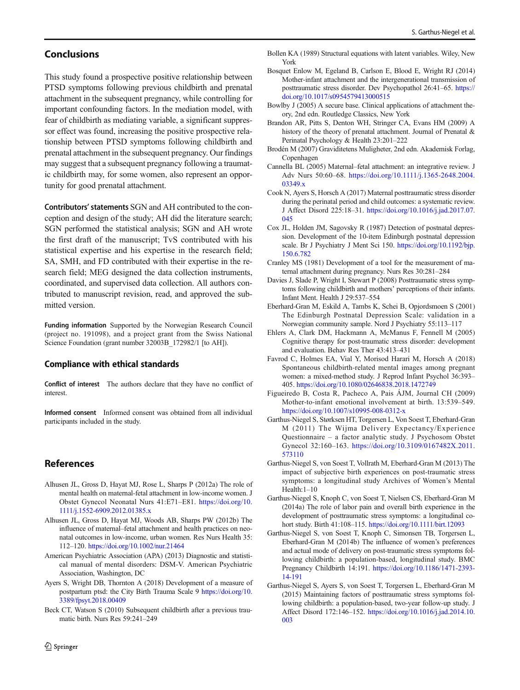## <span id="page-7-0"></span>Conclusions

This study found a prospective positive relationship between PTSD symptoms following previous childbirth and prenatal attachment in the subsequent pregnancy, while controlling for important confounding factors. In the mediation model, with fear of childbirth as mediating variable, a significant suppressor effect was found, increasing the positive prospective relationship between PTSD symptoms following childbirth and prenatal attachment in the subsequent pregnancy. Our findings may suggest that a subsequent pregnancy following a traumatic childbirth may, for some women, also represent an opportunity for good prenatal attachment.

Contributors'statements SGN and AH contributed to the conception and design of the study; AH did the literature search; SGN performed the statistical analysis; SGN and AH wrote the first draft of the manuscript; TvS contributed with his statistical expertise and his expertise in the research field; SA, SMH, and FD contributed with their expertise in the research field; MEG designed the data collection instruments, coordinated, and supervised data collection. All authors contributed to manuscript revision, read, and approved the submitted version.

Funding information Supported by the Norwegian Research Council (project no. 191098), and a project grant from the Swiss National Science Foundation (grant number 32003B\_172982/1 [to AH]).

## Compliance with ethical standards

Conflict of interest The authors declare that they have no conflict of **interest** 

Informed consent Informed consent was obtained from all individual participants included in the study.

# **References**

- Alhusen JL, Gross D, Hayat MJ, Rose L, Sharps P (2012a) The role of mental health on maternal-fetal attachment in low-income women. J Obstet Gynecol Neonatal Nurs 41:E71–E81. [https://doi.org/10.](https://doi.org/10.1111/j.1552-6909.2012.01385.x) [1111/j.1552-6909.2012.01385.x](https://doi.org/10.1111/j.1552-6909.2012.01385.x)
- Alhusen JL, Gross D, Hayat MJ, Woods AB, Sharps PW (2012b) The influence of maternal–fetal attachment and health practices on neonatal outcomes in low-income, urban women. Res Nurs Health 35: 112–120. <https://doi.org/10.1002/nur.21464>
- American Psychiatric Association (APA) (2013) Diagnostic and statistical manual of mental disorders: DSM-V. American Psychiatric Association, Washington, DC
- Ayers S, Wright DB, Thornton A (2018) Development of a measure of postpartum ptsd: the City Birth Trauma Scale 9 [https://doi.org/10.](https://doi.org/10.3389/fpsyt.2018.00409) [3389/fpsyt.2018.00409](https://doi.org/10.3389/fpsyt.2018.00409)
- Beck CT, Watson S (2010) Subsequent childbirth after a previous traumatic birth. Nurs Res 59:241–249
- Bollen KA (1989) Structural equations with latent variables. Wiley, New York
- Bosquet Enlow M, Egeland B, Carlson E, Blood E, Wright RJ (2014) Mother-infant attachment and the intergenerational transmission of posttraumatic stress disorder. Dev Psychopathol 26:41–65. [https://](https://doi.org/10.1017/s0954579413000515) [doi.org/10.1017/s0954579413000515](https://doi.org/10.1017/s0954579413000515)
- Bowlby J (2005) A secure base. Clinical applications of attachment theory, 2nd edn. Routledge Classics, New York
- Brandon AR, Pitts S, Denton WH, Stringer CA, Evans HM (2009) A history of the theory of prenatal attachment. Journal of Prenatal & Perinatal Psychology & Health 23:201–222
- Brodén M (2007) Graviditetens Muligheter, 2nd edn. Akademisk Forlag, Copenhagen
- Cannella BL (2005) Maternal–fetal attachment: an integrative review. J Adv Nurs 50:60–68. [https://doi.org/10.1111/j.1365-2648.2004.](https://doi.org/10.1111/j.1365-2648.2004.03349.x) 03349 x
- Cook N, Ayers S, Horsch A (2017) Maternal posttraumatic stress disorder during the perinatal period and child outcomes: a systematic review. J Affect Disord 225:18–31. [https://doi.org/10.1016/j.jad.2017.07.](https://doi.org/10.1016/j.jad.2017.07.045) [045](https://doi.org/10.1016/j.jad.2017.07.045)
- Cox JL, Holden JM, Sagovsky R (1987) Detection of postnatal depression. Development of the 10-item Edinburgh postnatal depression scale. Br J Psychiatry J Ment Sci 150. [https://doi.org/10.1192/bjp.](https://doi.org/10.1192/bjp.150.6.782) [150.6.782](https://doi.org/10.1192/bjp.150.6.782)
- Cranley MS (1981) Development of a tool for the measurement of maternal attachment during pregnancy. Nurs Res 30:281–284
- Davies J, Slade P, Wright I, Stewart P (2008) Posttraumatic stress symptoms following childbirth and mothers' perceptions of their infants. Infant Ment. Health J 29:537–554
- Eberhard-Gran M, Eskild A, Tambs K, Schei B, Opjordsmoen S (2001) The Edinburgh Postnatal Depression Scale: validation in a Norwegian community sample. Nord J Psychiatry 55:113–117
- Ehlers A, Clark DM, Hackmann A, McManus F, Fennell M (2005) Cognitive therapy for post-traumatic stress disorder: development and evaluation. Behav Res Ther 43:413–431
- Favrod C, Holmes EA, Vial Y, Morisod Harari M, Horsch A (2018) Spontaneous childbirth-related mental images among pregnant women: a mixed-method study. J Reprod Infant Psychol 36:393– 405. <https://doi.org/10.1080/02646838.2018.1472749>
- Figueiredo B, Costa R, Pacheco A, Pais ÁJM, Journal CH (2009) Mother-to-infant emotional involvement at birth. 13:539–549. <https://doi.org/10.1007/s10995-008-0312-x>
- Garthus-Niegel S, Størksen HT, Torgersen L, Von Soest T, Eberhard-Gran M (2011) The Wijma Delivery Expectancy/Experience Questionnaire – a factor analytic study. J Psychosom Obstet Gynecol 32:160–163. [https://doi.org/10.3109/0167482X.2011.](https://doi.org/10.3109/0167482X.2011.573110) [573110](https://doi.org/10.3109/0167482X.2011.573110)
- Garthus-Niegel S, von Soest T, Vollrath M, Eberhard-Gran M (2013) The impact of subjective birth experiences on post-traumatic stress symptoms: a longitudinal study Archives of Women's Mental Health:1–10
- Garthus-Niegel S, Knoph C, von Soest T, Nielsen CS, Eberhard-Gran M (2014a) The role of labor pain and overall birth experience in the development of posttraumatic stress symptoms: a longitudinal cohort study. Birth 41:108–115. <https://doi.org/10.1111/birt.12093>
- Garthus-Niegel S, von Soest T, Knoph C, Simonsen TB, Torgersen L, Eberhard-Gran M (2014b) The influence of women's preferences and actual mode of delivery on post-traumatic stress symptoms following childbirth: a population-based, longitudinal study. BMC Pregnancy Childbirth 14:191. [https://doi.org/10.1186/1471-2393-](https://doi.org/10.1186/1471-2393-14-191) [14-191](https://doi.org/10.1186/1471-2393-14-191)
- Garthus-Niegel S, Ayers S, von Soest T, Torgersen L, Eberhard-Gran M (2015) Maintaining factors of posttraumatic stress symptoms following childbirth: a population-based, two-year follow-up study. J Affect Disord 172:146–152. [https://doi.org/10.1016/j.jad.2014.10.](https://doi.org/10.1016/j.jad.2014.10.003) [003](https://doi.org/10.1016/j.jad.2014.10.003)